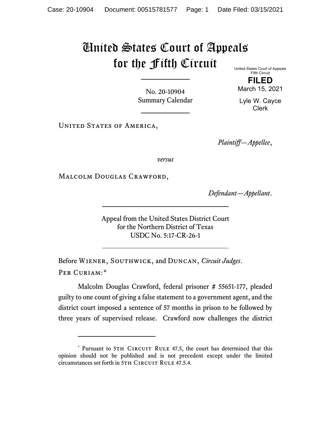## United States Court of Appeals for the Fifth Circuit

No. 20-10904 Summary Calendar United States Court of Appeals Fifth Circuit

**FILED** March 15, 2021

Lyle W. Cayce Clerk

UNITED STATES OF AMERICA,

*Plaintiff—Appellee*,

*versus*

Malcolm Douglas Crawford,

*Defendant—Appellant*.

Appeal from the United States District Court for the Northern District of Texas USDC No. 5:17-CR-26-1

Before Wiener, Southwick, and Duncan, *Circuit Judges*. Per Curiam:[\\*](#page-0-0)

Malcolm Douglas Crawford, federal prisoner # 55651-177, pleaded guilty to one count of giving a false statement to a government agent, and the district court imposed a sentence of 57 months in prison to be followed by three years of supervised release. Crawford now challenges the district

<span id="page-0-0"></span><sup>\*</sup> Pursuant to 5TH CIRCUIT RULE 47.5, the court has determined that this opinion should not be published and is not precedent except under the limited circumstances set forth in 5TH CIRCUIT RULE 47.5.4.